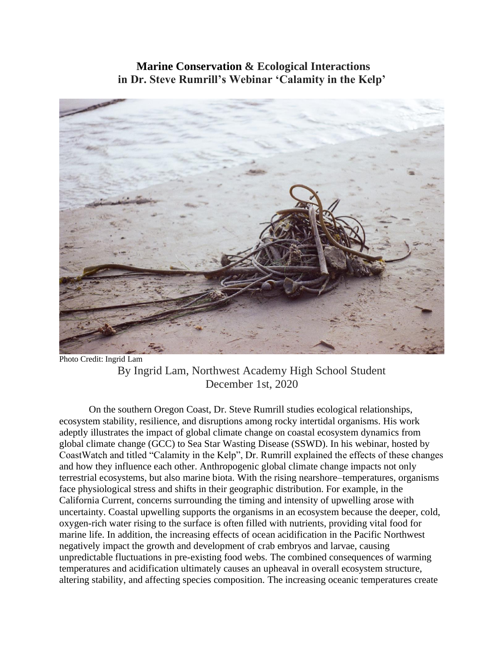# **Marine Conservation & Ecological Interactions in Dr. Steve Rumrill's Webinar 'Calamity in the Kelp'**



Photo Credit: Ingrid Lam

# By Ingrid Lam, Northwest Academy High School Student December 1st, 2020

On the southern Oregon Coast, Dr. Steve Rumrill studies ecological relationships, ecosystem stability, resilience, and disruptions among rocky intertidal organisms. His work adeptly illustrates the impact of global climate change on coastal ecosystem dynamics from global climate change (GCC) to Sea Star Wasting Disease (SSWD). In his webinar, hosted by CoastWatch and titled "Calamity in the Kelp", Dr. Rumrill explained the effects of these changes and how they influence each other. Anthropogenic global climate change impacts not only terrestrial ecosystems, but also marine biota. With the rising nearshore–temperatures, organisms face physiological stress and shifts in their geographic distribution. For example, in the California Current, concerns surrounding the timing and intensity of upwelling arose with uncertainty. Coastal upwelling supports the organisms in an ecosystem because the deeper, cold, oxygen-rich water rising to the surface is often filled with nutrients, providing vital food for marine life. In addition, the increasing effects of ocean acidification in the Pacific Northwest negatively impact the growth and development of crab embryos and larvae, causing unpredictable fluctuations in pre-existing food webs. The combined consequences of warming temperatures and acidification ultimately causes an upheaval in overall ecosystem structure, altering stability, and affecting species composition. The increasing oceanic temperatures create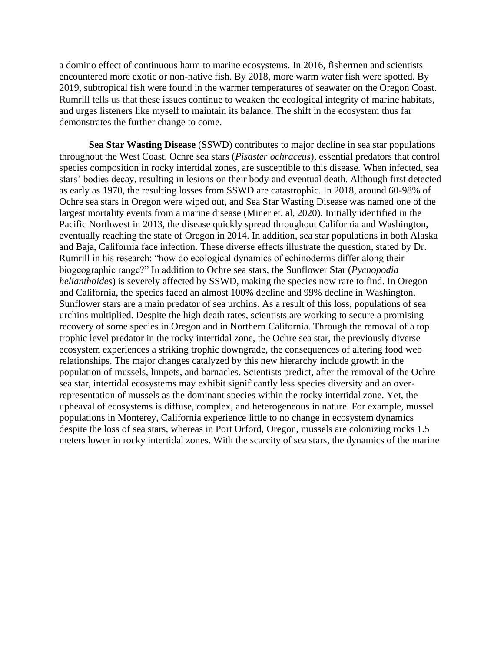a domino effect of continuous harm to marine ecosystems. In 2016, fishermen and scientists encountered more exotic or non-native fish. By 2018, more warm water fish were spotted. By 2019, subtropical fish were found in the warmer temperatures of seawater on the Oregon Coast. Rumrill tells us that these issues continue to weaken the ecological integrity of marine habitats, and urges listeners like myself to maintain its balance. The shift in the ecosystem thus far demonstrates the further change to come.

**Sea Star Wasting Disease** (SSWD) contributes to major decline in sea star populations throughout the West Coast. Ochre sea stars (*Pisaster ochraceus*), essential predators that control species composition in rocky intertidal zones, are susceptible to this disease. When infected, sea stars' bodies decay, resulting in lesions on their body and eventual death. Although first detected as early as 1970, the resulting losses from SSWD are catastrophic. In 2018, around 60-98% of Ochre sea stars in Oregon were wiped out, and Sea Star Wasting Disease was named one of the largest mortality events from a marine disease (Miner et. al, 2020). Initially identified in the Pacific Northwest in 2013, the disease quickly spread throughout California and Washington, eventually reaching the state of Oregon in 2014. In addition, sea star populations in both Alaska and Baja, California face infection. These diverse effects illustrate the question, stated by Dr. Rumrill in his research: "how do ecological dynamics of echinoderms differ along their biogeographic range?" In addition to Ochre sea stars, the Sunflower Star (*Pycnopodia helianthoides*) is severely affected by SSWD, making the species now rare to find. In Oregon and California, the species faced an almost 100% decline and 99% decline in Washington. Sunflower stars are a main predator of sea urchins. As a result of this loss, populations of sea urchins multiplied. Despite the high death rates, scientists are working to secure a promising recovery of some species in Oregon and in Northern California. Through the removal of a top trophic level predator in the rocky intertidal zone, the Ochre sea star, the previously diverse ecosystem experiences a striking trophic downgrade, the consequences of altering food web relationships. The major changes catalyzed by this new hierarchy include growth in the population of mussels, limpets, and barnacles. Scientists predict, after the removal of the Ochre sea star, intertidal ecosystems may exhibit significantly less species diversity and an overrepresentation of mussels as the dominant species within the rocky intertidal zone. Yet, the upheaval of ecosystems is diffuse, complex, and heterogeneous in nature. For example, mussel populations in Monterey, California experience little to no change in ecosystem dynamics despite the loss of sea stars, whereas in Port Orford, Oregon, mussels are colonizing rocks 1.5 meters lower in rocky intertidal zones. With the scarcity of sea stars, the dynamics of the marine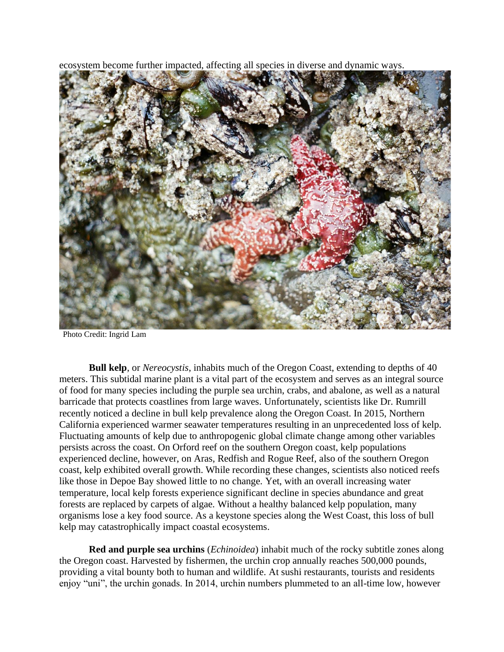ecosystem become further impacted, affecting all species in diverse and dynamic ways.



Photo Credit: Ingrid Lam

**Bull kelp**, or *Nereocystis*, inhabits much of the Oregon Coast, extending to depths of 40 meters. This subtidal marine plant is a vital part of the ecosystem and serves as an integral source of food for many species including the purple sea urchin, crabs, and abalone, as well as a natural barricade that protects coastlines from large waves. Unfortunately, scientists like Dr. Rumrill recently noticed a decline in bull kelp prevalence along the Oregon Coast. In 2015, Northern California experienced warmer seawater temperatures resulting in an unprecedented loss of kelp. Fluctuating amounts of kelp due to anthropogenic global climate change among other variables persists across the coast. On Orford reef on the southern Oregon coast, kelp populations experienced decline, however, on Aras, Redfish and Rogue Reef, also of the southern Oregon coast, kelp exhibited overall growth. While recording these changes, scientists also noticed reefs like those in Depoe Bay showed little to no change. Yet, with an overall increasing water temperature, local kelp forests experience significant decline in species abundance and great forests are replaced by carpets of algae. Without a healthy balanced kelp population, many organisms lose a key food source. As a keystone species along the West Coast, this loss of bull kelp may catastrophically impact coastal ecosystems.

**Red and purple sea urchins** (*Echinoidea*) inhabit much of the rocky subtitle zones along the Oregon coast. Harvested by fishermen, the urchin crop annually reaches 500,000 pounds, providing a vital bounty both to human and wildlife. At sushi restaurants, tourists and residents enjoy "uni", the urchin gonads. In 2014, urchin numbers plummeted to an all-time low, however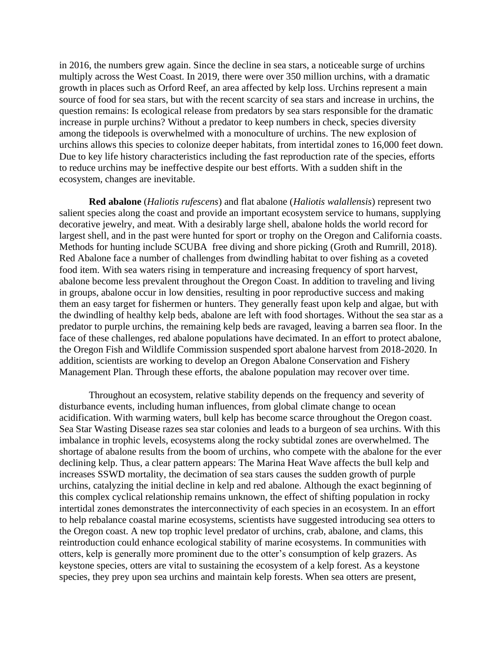in 2016, the numbers grew again. Since the decline in sea stars, a noticeable surge of urchins multiply across the West Coast. In 2019, there were over 350 million urchins, with a dramatic growth in places such as Orford Reef, an area affected by kelp loss. Urchins represent a main source of food for sea stars, but with the recent scarcity of sea stars and increase in urchins, the question remains: Is ecological release from predators by sea stars responsible for the dramatic increase in purple urchins? Without a predator to keep numbers in check, species diversity among the tidepools is overwhelmed with a monoculture of urchins. The new explosion of urchins allows this species to colonize deeper habitats, from intertidal zones to 16,000 feet down. Due to key life history characteristics including the fast reproduction rate of the species, efforts to reduce urchins may be ineffective despite our best efforts. With a sudden shift in the ecosystem, changes are inevitable.

**Red abalone** (*Haliotis rufescens*) and flat abalone (*Haliotis walallensis*) represent two salient species along the coast and provide an important ecosystem service to humans, supplying decorative jewelry, and meat. With a desirably large shell, abalone holds the world record for largest shell, and in the past were hunted for sport or trophy on the Oregon and California coasts. Methods for hunting include SCUBA free diving and shore picking (Groth and Rumrill, 2018). Red Abalone face a number of challenges from dwindling habitat to over fishing as a coveted food item. With sea waters rising in temperature and increasing frequency of sport harvest, abalone become less prevalent throughout the Oregon Coast. In addition to traveling and living in groups, abalone occur in low densities, resulting in poor reproductive success and making them an easy target for fishermen or hunters. They generally feast upon kelp and algae, but with the dwindling of healthy kelp beds, abalone are left with food shortages. Without the sea star as a predator to purple urchins, the remaining kelp beds are ravaged, leaving a barren sea floor. In the face of these challenges, red abalone populations have decimated. In an effort to protect abalone, the Oregon Fish and Wildlife Commission suspended sport abalone harvest from 2018-2020. In addition, scientists are working to develop an Oregon Abalone Conservation and Fishery Management Plan. Through these efforts, the abalone population may recover over time.

Throughout an ecosystem, relative stability depends on the frequency and severity of disturbance events, including human influences, from global climate change to ocean acidification. With warming waters, bull kelp has become scarce throughout the Oregon coast. Sea Star Wasting Disease razes sea star colonies and leads to a burgeon of sea urchins. With this imbalance in trophic levels, ecosystems along the rocky subtidal zones are overwhelmed. The shortage of abalone results from the boom of urchins, who compete with the abalone for the ever declining kelp. Thus, a clear pattern appears: The Marina Heat Wave affects the bull kelp and increases SSWD mortality, the decimation of sea stars causes the sudden growth of purple urchins, catalyzing the initial decline in kelp and red abalone. Although the exact beginning of this complex cyclical relationship remains unknown, the effect of shifting population in rocky intertidal zones demonstrates the interconnectivity of each species in an ecosystem. In an effort to help rebalance coastal marine ecosystems, scientists have suggested introducing sea otters to the Oregon coast. A new top trophic level predator of urchins, crab, abalone, and clams, this reintroduction could enhance ecological stability of marine ecosystems. In communities with otters, kelp is generally more prominent due to the otter's consumption of kelp grazers. As keystone species, otters are vital to sustaining the ecosystem of a kelp forest. As a keystone species, they prey upon sea urchins and maintain kelp forests. When sea otters are present,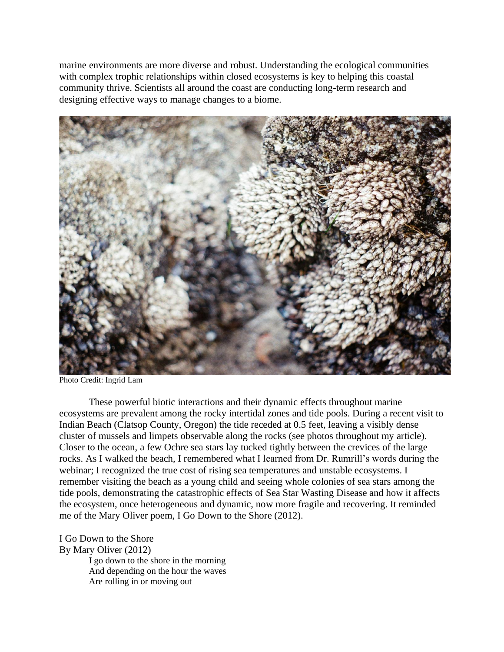marine environments are more diverse and robust. Understanding the ecological communities with complex trophic relationships within closed ecosystems is key to helping this coastal community thrive. Scientists all around the coast are conducting long-term research and designing effective ways to manage changes to a biome.



Photo Credit: Ingrid Lam

These powerful biotic interactions and their dynamic effects throughout marine ecosystems are prevalent among the rocky intertidal zones and tide pools. During a recent visit to Indian Beach (Clatsop County, Oregon) the tide receded at 0.5 feet, leaving a visibly dense cluster of mussels and limpets observable along the rocks (see photos throughout my article). Closer to the ocean, a few Ochre sea stars lay tucked tightly between the crevices of the large rocks. As I walked the beach, I remembered what I learned from Dr. Rumrill's words during the webinar; I recognized the true cost of rising sea temperatures and unstable ecosystems. I remember visiting the beach as a young child and seeing whole colonies of sea stars among the tide pools, demonstrating the catastrophic effects of Sea Star Wasting Disease and how it affects the ecosystem, once heterogeneous and dynamic, now more fragile and recovering. It reminded me of the Mary Oliver poem, I Go Down to the Shore (2012).

I Go Down to the Shore By Mary Oliver (2012) I go down to the shore in the morning And depending on the hour the waves Are rolling in or moving out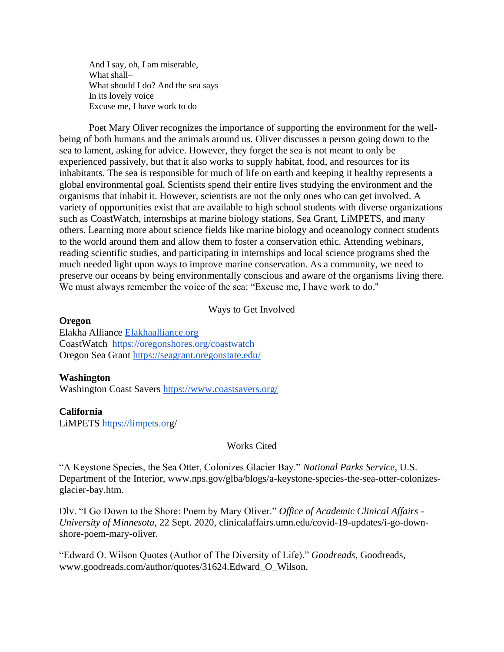And I say, oh, I am miserable, What shall– What should I do? And the sea says In its lovely voice Excuse me, I have work to do

Poet Mary Oliver recognizes the importance of supporting the environment for the wellbeing of both humans and the animals around us. Oliver discusses a person going down to the sea to lament, asking for advice. However, they forget the sea is not meant to only be experienced passively, but that it also works to supply habitat, food, and resources for its inhabitants. The sea is responsible for much of life on earth and keeping it healthy represents a global environmental goal. Scientists spend their entire lives studying the environment and the organisms that inhabit it. However, scientists are not the only ones who can get involved. A variety of opportunities exist that are available to high school students with diverse organizations such as CoastWatch, internships at marine biology stations, Sea Grant, LiMPETS, and many others. Learning more about science fields like marine biology and oceanology connect students to the world around them and allow them to foster a conservation ethic. Attending webinars, reading scientific studies, and participating in internships and local science programs shed the much needed light upon ways to improve marine conservation. As a community, we need to preserve our oceans by being environmentally conscious and aware of the organisms living there. We must always remember the voice of the sea: "Excuse me, I have work to do.''

Ways to Get Involved

### **Oregon**

Elakha Alliance [Elakhaalliance.org](http://elakhaalliance.org/) CoastWatch https://oregonshores.org/coastwatch Oregon Sea Grant<https://seagrant.oregonstate.edu/>

#### **Washington**

Washington Coast Savers<https://www.coastsavers.org/>

### **California**

LiMPETS [https://limpets.org](https://limpets.org/)/

Works Cited

"A Keystone Species, the Sea Otter, Colonizes Glacier Bay." *National Parks Service*, U.S. Department of the Interior, www.nps.gov/glba/blogs/a-keystone-species-the-sea-otter-colonizesglacier-bay.htm.

Dlv. "I Go Down to the Shore: Poem by Mary Oliver." *Office of Academic Clinical Affairs - University of Minnesota*, 22 Sept. 2020, clinicalaffairs.umn.edu/covid-19-updates/i-go-downshore-poem-mary-oliver.

"Edward O. Wilson Quotes (Author of The Diversity of Life)." *Goodreads*, Goodreads, www.goodreads.com/author/quotes/31624.Edward\_O\_Wilson.